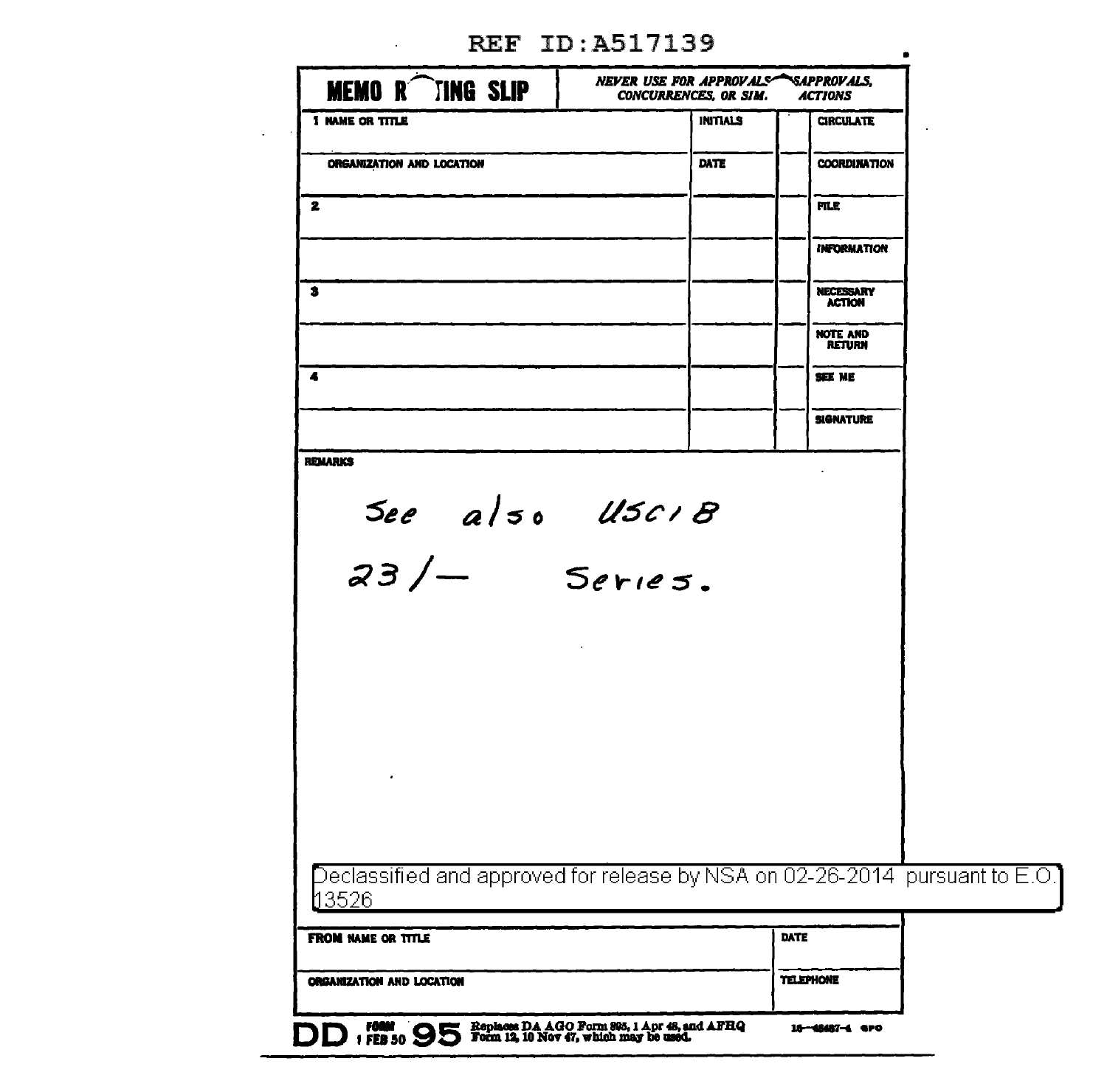| <b>MEMOR</b> TING SLIP                                                                     | NEVER USE FOR APPROVALS SAPPROVALS,<br><b>CONCURRENCES, OR SIM.</b>                    | <b>ACTIONS</b>                    |  |
|--------------------------------------------------------------------------------------------|----------------------------------------------------------------------------------------|-----------------------------------|--|
| <b>1 NAME OR TITLE</b>                                                                     | <b>INITIALS</b>                                                                        | <b>CIRCULATE</b>                  |  |
| ORGANIZATION AND LOCATION                                                                  | DATE                                                                                   | <b>COORDINATION</b>               |  |
| 2                                                                                          |                                                                                        | <b>FILE</b>                       |  |
|                                                                                            |                                                                                        | <b>INFORMATION</b>                |  |
| 3                                                                                          |                                                                                        | <b>NECESSARY</b><br><b>ACTION</b> |  |
|                                                                                            |                                                                                        | <b>NOTE AND</b><br><b>RETURN</b>  |  |
| 4                                                                                          |                                                                                        | SEE ME                            |  |
|                                                                                            |                                                                                        | <b>SIGNATURE</b>                  |  |
| <b>REMARKS</b>                                                                             |                                                                                        |                                   |  |
|                                                                                            |                                                                                        |                                   |  |
| See also USCIB<br>23/ Series.                                                              |                                                                                        |                                   |  |
|                                                                                            |                                                                                        |                                   |  |
|                                                                                            |                                                                                        |                                   |  |
|                                                                                            |                                                                                        |                                   |  |
|                                                                                            |                                                                                        |                                   |  |
|                                                                                            |                                                                                        |                                   |  |
|                                                                                            |                                                                                        |                                   |  |
| Declassified and approved for release by NSA on 02-26-2014 $\,$ pursuant to E.O.'<br>13526 |                                                                                        |                                   |  |
| FROM NAME OR TITLE                                                                         |                                                                                        | DATE                              |  |
| ORGANIZATION AND LOCATION                                                                  |                                                                                        | TELEPHONE                         |  |
| <b>DD #885</b>                                                                             | Replaces DA AGO Form 895, 1 Apr 48, and AFRQ<br>Form 12, 10 Nov 47, which may be used. | 16-48487-4 GPO                    |  |

 $\bullet$ 

REF ID: A517139

 $\sim 10$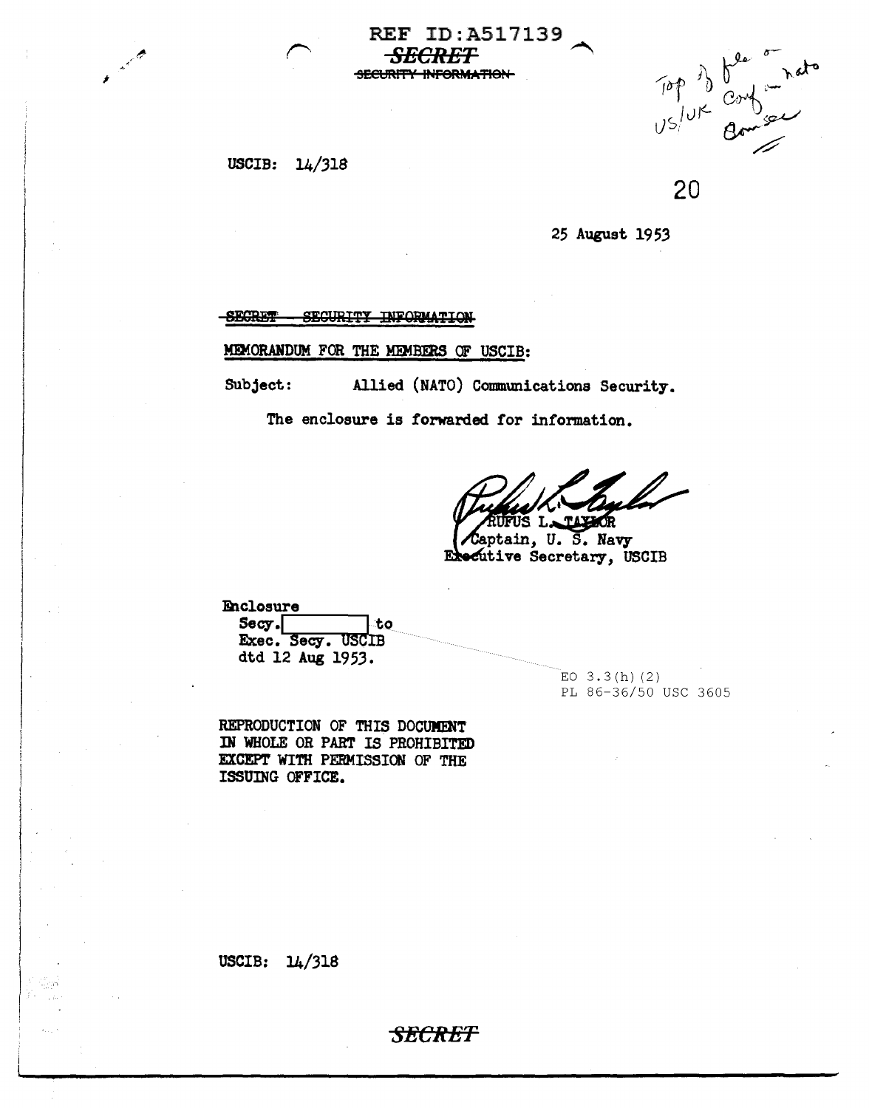USCIB:  $14/318$ 

Top of beinger

20

25 August 1953

**SECRET** SECURITY INFORMATION

MEMORANDUM FOR THE MEMBERS OF USCIB:

Allied (NATO) Communications Security. Subject:

**REF ID: A517139** 

*ECRET* 

SECURITY INFORMATION

The enclosure is forwarded for information.

**LOR** 

Saptain, U.S. Navy Executive Secretary, USCIB

Enclosure  $S_{\rm ccy}.$ ∴to Exec. Secy. USCIB dtd 12 Aug 1953.

> $EO$  3.3(h)(2) PL 86-36/50 USC 3605

REPRODUCTION OF THIS DOCUMENT IN WHOLE OR PART IS PROHIBITED EXCEPT WITH PERMISSION OF THE ISSUING OFFICE.

USCIB:  $14/318$ 

**SECRET**